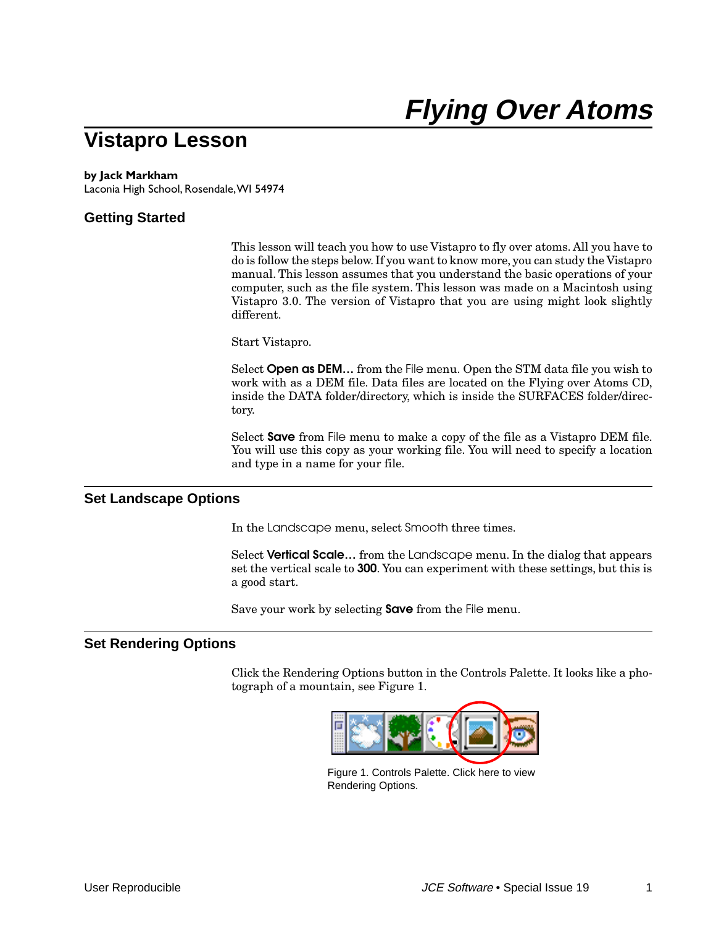# **Vistapro Lesson**

#### **by Jack Markham**

Laconia High School, Rosendale, WI 54974

## **Getting Started**

This lesson will teach you how to use Vistapro to fly over atoms. All you have to do is follow the steps below. If you want to know more, you can study the Vistapro manual. This lesson assumes that you understand the basic operations of your computer, such as the file system. This lesson was made on a Macintosh using Vistapro 3.0. The version of Vistapro that you are using might look slightly different.

Start Vistapro.

Select **Open as DEM…** from the File menu. Open the STM data file you wish to work with as a DEM file. Data files are located on the Flying over Atoms CD, inside the DATA folder/directory, which is inside the SURFACES folder/directory.

Select **Save** from File menu to make a copy of the file as a Vistapro DEM file. You will use this copy as your working file. You will need to specify a location and type in a name for your file.

#### **Set Landscape Options**

In the Landscape menu, select Smooth three times.

Select **Vertical Scale…** from the Landscape menu. In the dialog that appears set the vertical scale to **300**. You can experiment with these settings, but this is a good start.

Save your work by selecting **Save** from the File menu.

#### **Set Rendering Options**

Click the Rendering Options button in the Controls Palette. It looks like a photograph of a mountain, see Figure 1.



Figure 1. Controls Palette. Click here to view Rendering Options.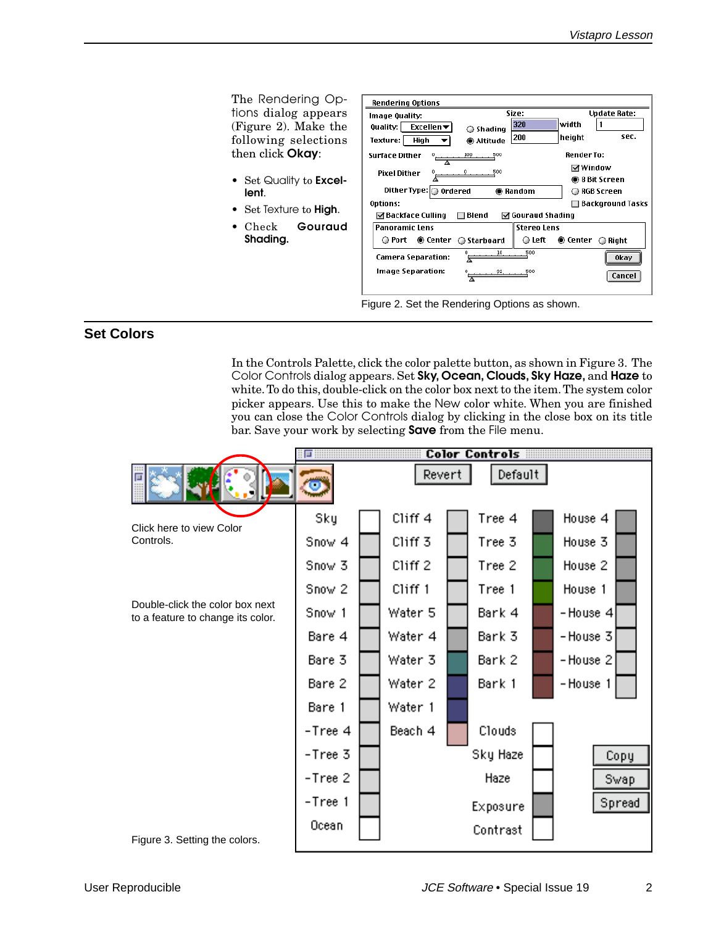The Rendering Options dialog appears (Figure 2). Make the following selections then click **Okay**:

- Set Quality to **Excellent**.
- Set Texture to **High**.
- Check **Gouraud Shading.**

| <b>Rendering Options</b>                  |              |                    |                                      | <b>Update Rate:</b>     |
|-------------------------------------------|--------------|--------------------|--------------------------------------|-------------------------|
| Image Quality:                            | Size:        |                    |                                      |                         |
| Excellen $\blacktriangledown$<br>Quality: | ○ Shading    | 320                | width                                |                         |
| Texture:  <br>High                        | ◉ Altitude   | 200                | height                               | sec.                    |
| <b>Surface Dither</b>                     | 500          |                    | <b>Render To:</b>                    |                         |
| Pixel Dither                              | 500          |                    | ☑ Window                             |                         |
|                                           |              |                    |                                      | ◉ 8 Bit Screen          |
| Dither Type: O Ordered                    |              | ● Random           |                                      | ● RGB Screen            |
| <b>Options:</b>                           |              |                    |                                      | $\Box$ Background Tasks |
| ⊠ Backface Culling                        | $\Box$ Blend | ☑ Gouraud Shading  |                                      |                         |
| <b>Panoramic Lens</b>                     |              | <b>Stereo Lens</b> |                                      |                         |
| ● Port ● Center ● Starboard               |              | ⊜ Left             | $\circledR$ Center $\circledR$ Right |                         |
| <b>Camera Separation:</b>                 |              | 500                |                                      | <b>Okay</b>             |
| Image Separation:                         |              | 500                |                                      | Cancel                  |

Figure 2. Set the Rendering Options as shown.

# **Set Colors**

In the Controls Palette, click the color palette button, as shown in Figure 3. The Color Controls dialog appears. Set **Sky, Ocean, Clouds, Sky Haze,** and **Haze** to white. To do this, double-click on the color box next to the item. The system color picker appears. Use this to make the New color white. When you are finished you can close the Color Controls dialog by clicking in the close box on its title bar. Save your work by selecting **Save** from the File menu.

|                                                                      | 叵                       |                    | <b>Color Controls</b> |                    |
|----------------------------------------------------------------------|-------------------------|--------------------|-----------------------|--------------------|
|                                                                      | $\overline{\mathbf{C}}$ | Revert             | Default               |                    |
| Click here to view Color                                             | Sky                     | Cliff <sub>4</sub> | Tree 4                | House 4            |
| Controls.                                                            | Snow 4                  | Cliff <sub>3</sub> | Tree 3                | House 3            |
|                                                                      | Snow 3                  | Cliff <sub>2</sub> | Tree 2                | House <sub>2</sub> |
|                                                                      | Snow <sub>2</sub>       | Cliff 1            | Tree 1                | House 1            |
| Double-click the color box next<br>to a feature to change its color. | Snow 1                  | Water 5            | Bark 4                | -House 4           |
|                                                                      | Bare 4                  | Water 4            | Bark 3                | -House 3           |
|                                                                      | Bare 3                  | Water 3            | Bark 2                | -House 2           |
|                                                                      | Bare 2                  | Water 2            | Bark 1                | -House 1           |
|                                                                      | Bare 1                  | Water 1            |                       |                    |
|                                                                      | -Tree 4                 | Beach 4            | Clouds                |                    |
|                                                                      | -Tree 3                 |                    | Sky Haze              | Copy               |
|                                                                      | -Tree 2                 |                    | Haze                  | Swap.              |
|                                                                      | -Tree 1                 |                    | Exposure              | Spread             |
| Figure 3 Setting the colors                                          | Ocean                   |                    | Contrast              |                    |

Figure 3. Setting the colors.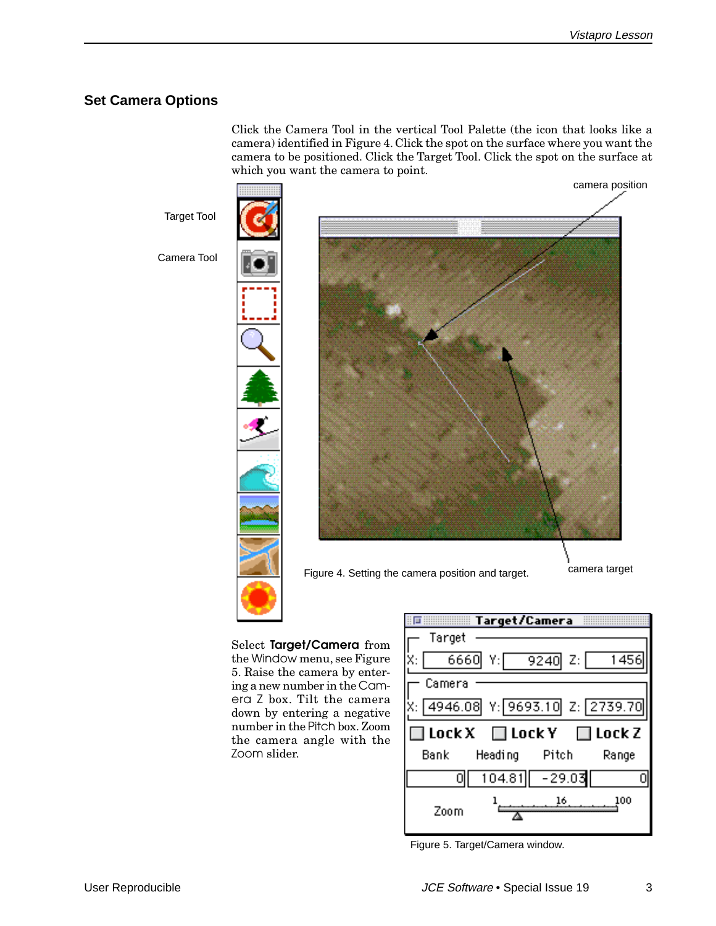# **Set Camera Options**

Click the Camera Tool in the vertical Tool Palette (the icon that looks like a camera) identified in Figure 4. Click the spot on the surface where you want the camera to be positioned. Click the Target Tool. Click the spot on the surface at which you want the camera to point.

Target Tool

Camera Tool





Figure 4. Setting the camera position and target. Camera target

Select **Target/Camera** from the Window menu, see Figure 5. Raise the camera by entering a new number in the Camera Z box. Tilt the camera down by entering a negative number in the Pitch box. Zoom the camera angle with the Zoom slider.



Figure 5. Target/Camera window.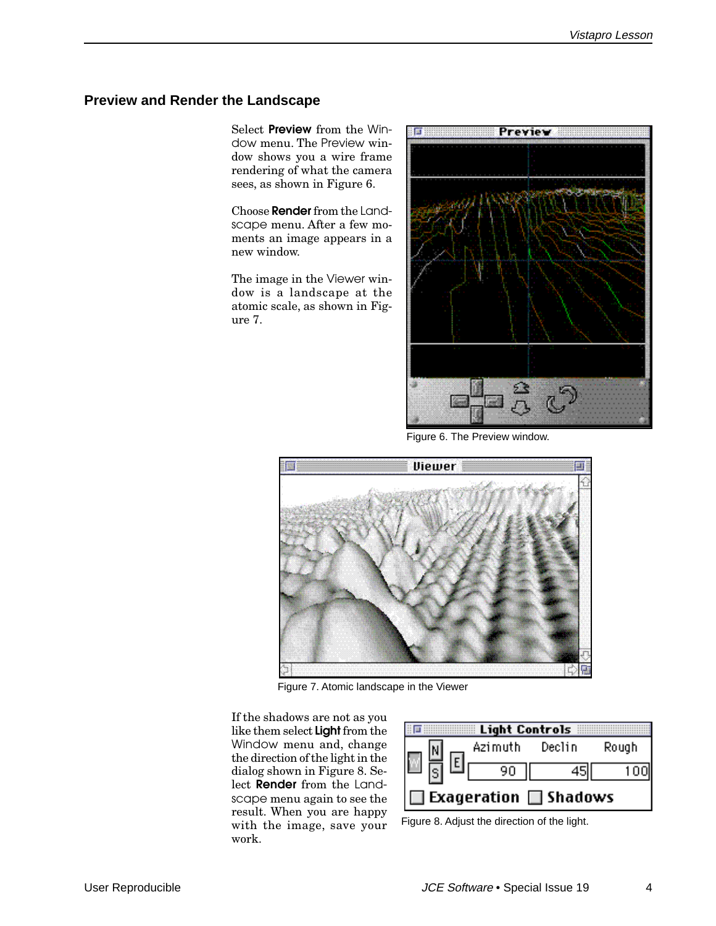# **Preview and Render the Landscape**

Select **Preview** from the Window menu. The Preview window shows you a wire frame rendering of what the camera sees, as shown in Figure 6.

Choose **Render** from the Landscape menu. After a few moments an image appears in a new window.

The image in the Viewer window is a landscape at the atomic scale, as shown in Figure 7.



Figure 6. The Preview window.



Figure 7. Atomic landscape in the Viewer

If the shadows are not as you like them select **Light** from the Window menu and, change the direction of the light in the dialog shown in Figure 8. Select **Render** from the Landscape menu again to see the result. When you are happy with the image, save your work.

|                            | <b>Light Controls</b> |       |  |  |
|----------------------------|-----------------------|-------|--|--|
| Azimuth                    | Declin                | Rough |  |  |
| 90                         |                       |       |  |  |
| Exageration $\Box$ Shadows |                       |       |  |  |

Figure 8. Adjust the direction of the light.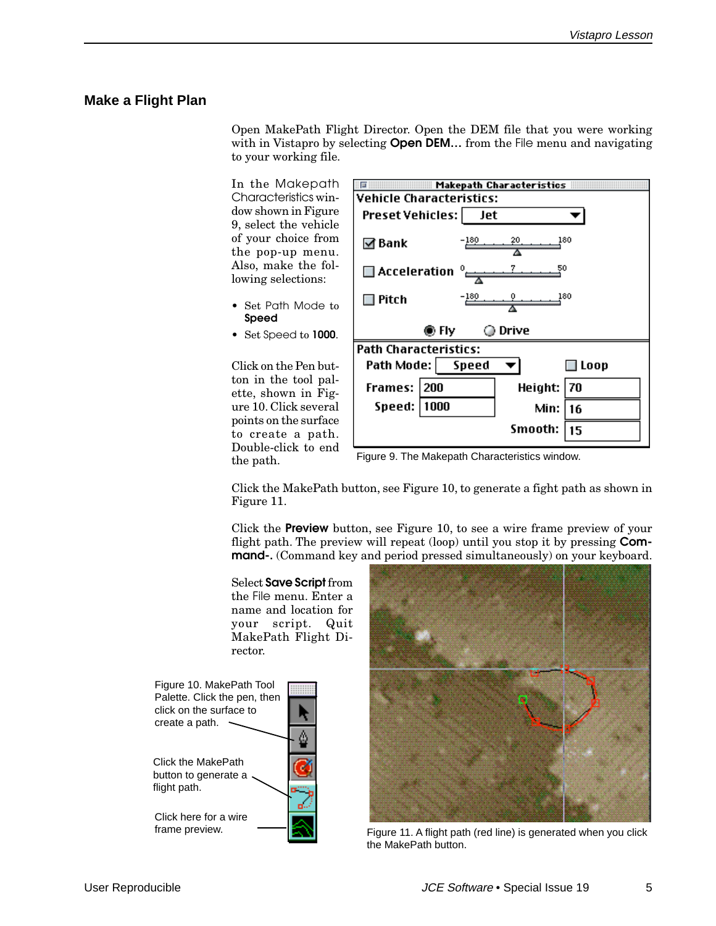#### **Make a Flight Plan**

Open MakePath Flight Director. Open the DEM file that you were working with in Vistapro by selecting **Open DEM...** from the File menu and navigating to your working file.

In the Makepath Characteristics window shown in Figure 9, select the vehicle of your choice from the pop-up menu. Also, make the following selections:

- Set Path Mode to **Speed**
- Set Speed to **1000**.

Click on the Pen button in the tool palette, shown in Figure 10. Click several points on the surface to create a path. Double-click to end the path.

|                                                             | Makepath Characteristics ::::: |
|-------------------------------------------------------------|--------------------------------|
| <b>Vehicle Characteristics:</b>                             |                                |
| Preset Vehicles:  <br>– Jet                                 |                                |
| -180<br>⊠ Bank                                              | 180<br>20                      |
| $\blacksquare$ Acceleration $^{\circ}$ $\leftrightharpoons$ | 50                             |
| $-180$<br>Pitch                                             | 180                            |
| ◉ Fly                                                       | ⊙ Drive                        |
| <b>Path Characteristics:</b>                                |                                |
| Path Mode:   Speed                                          | $\Box$ Loop                    |
| <b>Frames:</b><br> 200                                      | Height: 70                     |
| 1000<br>Speed:                                              | Min: I<br>16                   |
|                                                             | Smooth:<br>15                  |

Click the MakePath button, see Figure 10, to generate a fight path as shown in Figure 11.

Click the **Preview** button, see Figure 10, to see a wire frame preview of your flight path. The preview will repeat (loop) until you stop it by pressing **Command-.** (Command key and period pressed simultaneously) on your keyboard.

Select **Save Script** from the File menu. Enter a name and location for your script. Quit MakePath Flight Director.





Figure 11. A flight path (red line) is generated when you click the MakePath button.

Figure 9. The Makepath Characteristics window.